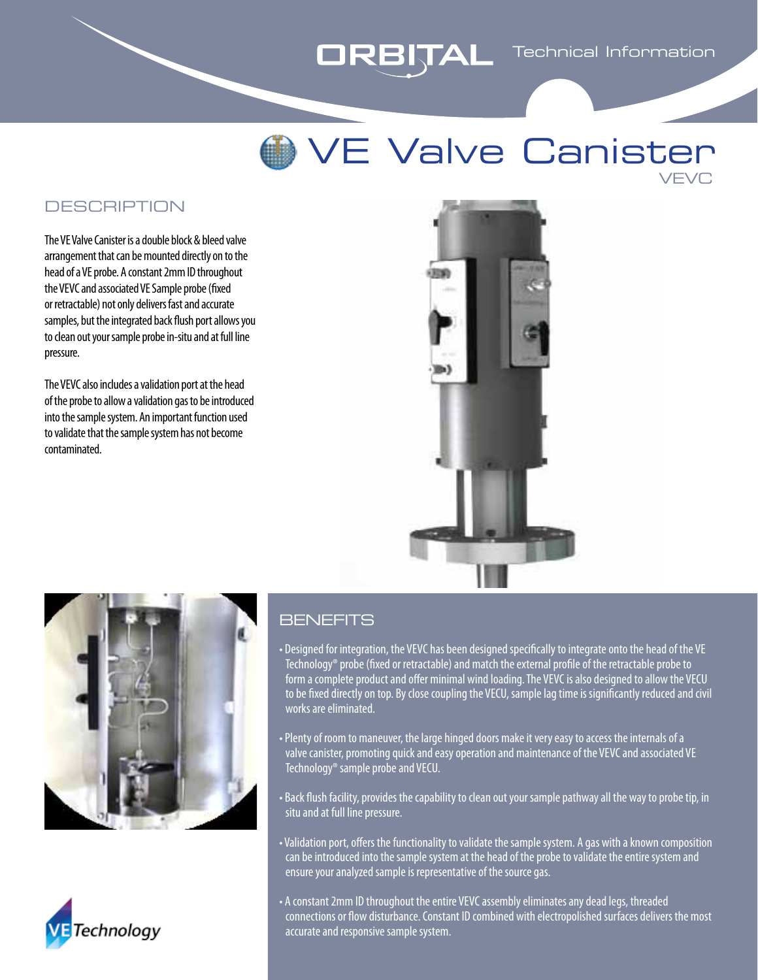# **ORBITAL** Technical Information

## VE Valve Canister VEVC

### **DESCRIPTION**

The VE Valve Canister is a double block & bleed valve arrangement that can be mounted directly on to the head of a VE probe. A constant 2mm ID throughout the VEVC and associated VE Sample probe (fixed or retractable) not only delivers fast and accurate samples, but the integrated back flush port allows you to clean out your sample probe in-situ and at full line pressure.

The VEVC also includes a validation port at the head of the probe to allow a validation gas to be introduced into the sample system. An important function used to validate that the sample system has not become contaminated.







#### **BENEFITS**

- Designed for integration, the VEVC has been designed specifically to integrate onto the head of the VE Technology® probe (fixed or retractable) and match the external profile of the retractable probe to form a complete product and offer minimal wind loading. The VEVC is also designed to allow the VECU to be fixed directly on top. By close coupling the VECU, sample lag time is significantly reduced and civil works are eliminated.
- Plenty of room to maneuver, the large hinged doors make it very easy to access the internals of a valve canister, promoting quick and easy operation and maintenance of the VEVC and associated VE Technology® sample probe and VECU.
- Back flush facility, provides the capability to clean out your sample pathway all the way to probe tip, in situ and at full line pressure.
- Validation port, offers the functionality to validate the sample system. A gas with a known composition can be introduced into the sample system at the head of the probe to validate the entire system and ensure your analyzed sample is representative of the source gas.
- A constant 2mm ID throughout the entire VEVC assembly eliminates any dead legs, threaded connections or flow disturbance. Constant ID combined with electropolished surfaces delivers the most accurate and responsive sample system.